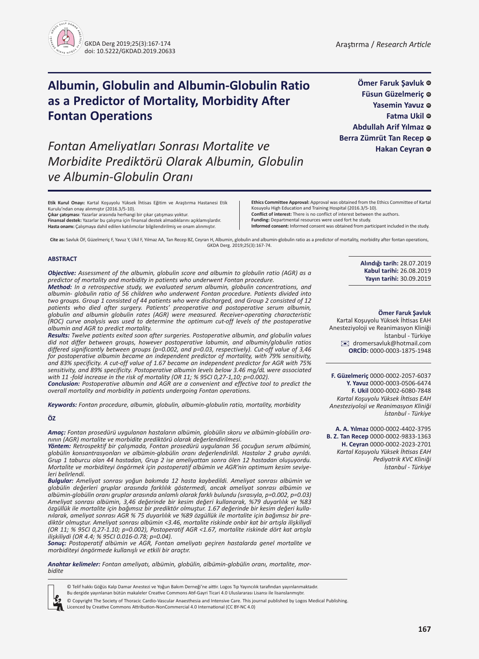

**Ömer Faruk Şavluk Füsun Güzelmeriç** @ Yasemin Yavuz © **Fatma Ukil** ©

**Abdullah Arif Yılmaz** @ **Berra Zümrüt Tan Recep** ©

**Hakan Ceyran** ©

# **Albumin, Globulin and Albumin-Globulin Ratio as a Predictor of Mortality, Morbidity After Fontan Operations**

*Fontan Ameliyatları Sonrası Mortalite ve Morbidite Prediktörü Olarak Albumin, Globulin ve Albumin-Globulin Oranı*

**Etik Kurul Onayı:** Kartal Koşuyolu Yüksek İhtisas Eğitim ve Araştırma Hastanesi Etik

**Finansal destek:** Yazarlar bu çalışma için finansal destek almadıklarını açıklamışlardır. **Hasta onamı:** Çalışmaya dahil edilen katılımcılar bilgilendirilmiş ve onam alınmıştır.

**Çıkar çatışması**: Yazarlar arasında herhangi bir çıkar çatışması yoktur.

**Ethics Committee Approval:** Approval was obtained from the Ethics Committee of Kartal Kosuyolu High Education and Training Hospital (2016.3/5-10).

**Conflict of interest:** There is no conflict of interest between the authors. **Funding:** Departmental resources were used fort he study.

**Informed consent:** Informed consent was obtained from participant included in the study.

**Cite as:** Savluk ÖF, Güzelmeriç F, Yavuz Y, Ukil F, Yılmaz AA, Tan Recep BZ, Ceyran H, Albumin, globulin and albumin-globulin ratio as a predictor of mortality, morbidity after fontan operations, GKDA Derg. 2019;25(3):167-74.

#### **ABSTRACT**

Kurulu'ndan onay alınmıştır (2016.3/5-10).

*Objective: Assessment of the albumin, globulin score and albumin to globulin ratio (AGR) as a predictor of mortality and morbidity in patients who underwent Fontan procedure.*

*Method: In a retrospective study, we evaluated serum albumin, globulin concentrations, and albumin- globulin ratio of 56 children who underwent Fontan procedure. Patients divided into two groups. Group 1 consisted of 44 patients who were discharged, and Group 2 consisted of 12 patients who died after surgery. Patients' preoperative and postoperative serum albumin, globulin and albumin globulin rates (AGR) were measured. Receiver-operating characteristic (ROC) curve analysis was used to determine the optimum cut-off levels of the postoperative albumin and AGR to predict mortality.* 

*Results: Twelve patients exited soon after surgeries. Postoperative albumin, and globulin values did not differ between groups, however postoperative labumin, and albumin/globulin ratios differed significantly between groups (p=0.002, and p=0.03, respectively). Cut-off value of 3,46 for postoperative albumin became an independent predictor of mortality, with 79% sensitivity, and 83% specificity. A cut-off value of 1.67 became an independent predictor for AGR with 75% sensitivity, and 89% specificity. Postoperative albumin levels below 3.46 mg/dL were associated with 11 -fold increase in the risk of mortality (OR 11; % 95CI 0,27-1,10; p=0.002).*

*Conclusion: Postoperative albumin and AGR are a convenient and effective tool to predict the overall mortality and morbidity in patients undergoing Fontan operations.*

*Keywords: Fontan procedure, albumin, globulin, albumin-globulin ratio, mortality, morbidity*

#### **ÖZ**

*Amaç: Fontan prosedürü uygulanan hastaların albümin, globülin skoru ve albümin-globülin oranının (AGR) mortalite ve morbidite prediktörü olarak değerlendirilmesi.*

*Yöntem: Retrospektif bir çalışmada, Fontan prosedürü uygulanan 56 çocuğun serum albümini, globülin konsantrasyonları ve albümin-globülin oranı değerlendirildi. Hastalar 2 gruba ayrıldı. Grup 1 taburcu olan 44 hastadan, Grup 2 ise ameliyattan sonra ölen 12 hastadan oluşuyordu. Mortalite ve morbiditeyi öngörmek için postoperatif albümin ve AGR'nin optimum kesim seviyeleri belirlendi.*

*Bulgular: Ameliyat sonrası yoğun bakımda 12 hasta kaybedildi. Ameliyat sonrası albümin ve globülin değerleri gruplar arasında farklılık göstermedi, ancak ameliyat sonrası albümin ve albümin-globülin oranı gruplar arasında anlamlı olarak farklı bulundu (sırasıyla, p=0.002, p=0.03) Ameliyat sonrası albümin, 3,46 değerinde bir kesim değeri kullanarak, %79 duyarlılık ve %83 özgüllük ile mortalite için bağımsız bir prediktör olmuştur. 1.67 değerinde bir kesim değeri kullanılarak, ameliyat sonrası AGR % 75 duyarlılık ve %89 özgüllük ile mortalite için bağımsız bir prediktör olmuştur. Ameliyat sonrası albümin <3.46, mortalite riskinde onbir kat bir artışla ilişkiliydi (OR 11; % 95CI 0,27-1.10; p=0.002), Postoperatif AGR <1.67, mortalite riskinde dört kat artışla ilişkiliydi (OR 4.4; % 95CI 0.016-0.78; p=0.04).*

*Sonuç: Postoperatif albümin ve AGR, Fontan ameliyatı geçiren hastalarda genel mortalite ve morbiditeyi öngörmede kullanışlı ve etkili bir araçtır.*

*Anahtar kelimeler: Fontan ameliyatı, albümin, globülin, albümin-globülin oranı, mortalite, morbidite*



- © Telif hakkı Göğüs Kalp Damar Anestezi ve Yoğun Bakım Derneği'ne aittir. Logos Tıp Yayıncılık tarafından yayınlanmaktadır.
- Bu dergide yayınlanan bütün makaleler Creative Commons Atıf-Gayri Ticari 4.0 Uluslararası Lisansı ile lisanslanmıştır.

© Copyright The Society of Thoracic Cardio-Vascular Anaesthesia and Intensive Care. This journal published by Logos Medical Publishing. Licenced by Creative Commons Attribution-NonCommercial 4.0 International (CC BY-NC 4.0)

**Alındığı tarih:** 28.07.2019 **Kabul tarihi:** 26.08.2019 **Yayın tarihi:** 30.09.2019

#### **Ömer Faruk Şavluk**

Kartal Koşuyolu Yüksek İhtisas EAH Anesteziyoloji ve Reanimasyon Kliniği İstanbul - Türkiye [✉](mailto:dromersavluk@hotmail.com) dromersavluk@hotmail.com **ORCİD:** 0000-0003-1875-1948

**F. Güzelmeriç** 0000-0002-2057-6037 **Y. Yavuz** 0000-0003-0506-6474 **F. Ukil** 0000-0002-6080-7848 *Kartal Koşuyolu Yüksek İhtisas EAH Anesteziyoloji ve Reanimasyon Kliniği İstanbul - Türkiye*

**A. A. Yılmaz** 0000-0002-4402-3795 **B. Z. Tan Recep** 0000-0002-9833-1363 **H. Ceyran** 0000-0002-2023-2701 *Kartal Koşuyolu Yüksek İhtisas EAH Pediyatrik KVC Kliniği İstanbul - Türkiye*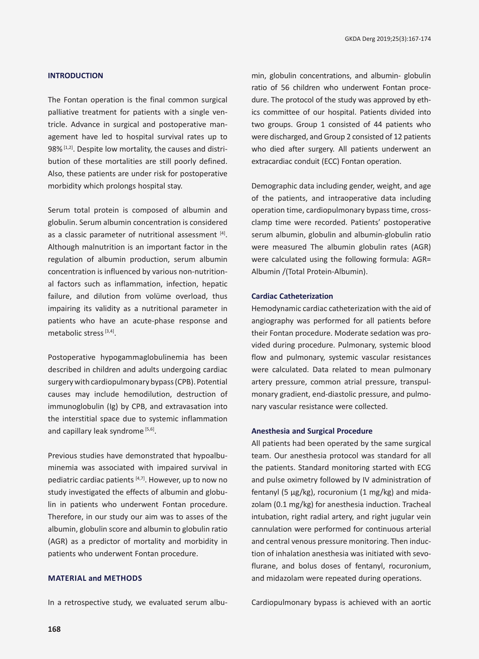# **INTRODUCTION**

The Fontan operation is the final common surgical palliative treatment for patients with a single ventricle. Advance in surgical and postoperative management have led to hospital survival rates up to 98% [1,2]. Despite low mortality, the causes and distribution of these mortalities are still poorly defined. Also, these patients are under risk for postoperative morbidity which prolongs hospital stay.

Serum total protein is composed of albumin and globulin. Serum albumin concentration is considered as a classic parameter of nutritional assessment [4]. Although malnutrition is an important factor in the regulation of albumin production, serum albumin concentration is influenced by various non-nutritional factors such as inflammation, infection, hepatic failure, and dilution from volüme overload, thus impairing its validity as a nutritional parameter in patients who have an acute-phase response and metabolic stress [3,4].

Postoperative hypogammaglobulinemia has been described in children and adults undergoing cardiac surgery with cardiopulmonary bypass (CPB). Potential causes may include hemodilution, destruction of immunoglobulin (Ig) by CPB, and extravasation into the interstitial space due to systemic inflammation and capillary leak syndrome<sup>[5,6]</sup>.

Previous studies have demonstrated that hypoalbuminemia was associated with impaired survival in pediatric cardiac patients [4,7]. However, up to now no study investigated the effects of albumin and globulin in patients who underwent Fontan procedure. Therefore, in our study our aim was to asses of the albumin, globulin score and albumin to globulin ratio (AGR) as a predictor of mortality and morbidity in patients who underwent Fontan procedure.

# **MATERIAL and Methods**

In a retrospective study, we evaluated serum albu-

min, globulin concentrations, and albumin- globulin ratio of 56 children who underwent Fontan procedure. The protocol of the study was approved by ethics committee of our hospital. Patients divided into two groups. Group 1 consisted of 44 patients who were discharged, and Group 2 consisted of 12 patients who died after surgery. All patients underwent an extracardiac conduit (ECC) Fontan operation.

Demographic data including gender, weight, and age of the patients, and intraoperative data including operation time, cardiopulmonary bypass time, crossclamp time were recorded. Patients' postoperative serum albumin, globulin and albumin-globulin ratio were measured The albumin globulin rates (AGR) were calculated using the following formula: AGR= Albumin /(Total Protein-Albumin).

#### **Cardiac Catheterization**

Hemodynamic cardiac catheterization with the aid of angiography was performed for all patients before their Fontan procedure. Moderate sedation was provided during procedure. Pulmonary, systemic blood flow and pulmonary, systemic vascular resistances were calculated. Data related to mean pulmonary artery pressure, common atrial pressure, transpulmonary gradient, end-diastolic pressure, and pulmonary vascular resistance were collected.

#### **Anesthesia and Surgical Procedure**

All patients had been operated by the same surgical team. Our anesthesia protocol was standard for all the patients. Standard monitoring started with ECG and pulse oximetry followed by IV administration of fentanyl (5 μg/kg), rocuronium (1 mg/kg) and midazolam (0.1 mg/kg) for anesthesia induction. Tracheal intubation, right radial artery, and right jugular vein cannulation were performed for continuous arterial and central venous pressure monitoring. Then induction of inhalation anesthesia was initiated with sevoflurane, and bolus doses of fentanyl, rocuronium, and midazolam were repeated during operations.

Cardiopulmonary bypass is achieved with an aortic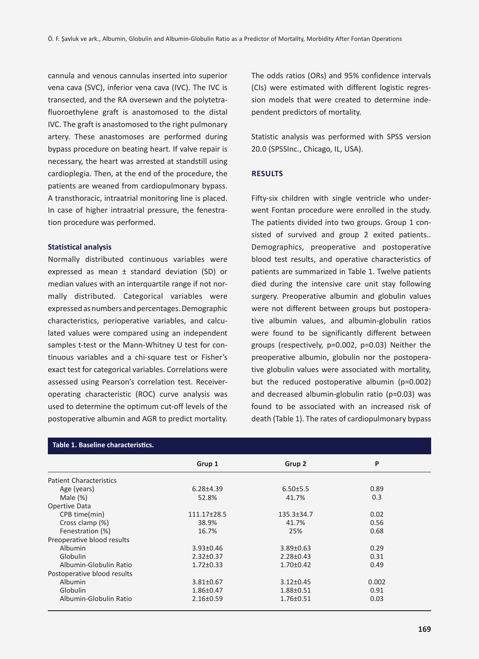cannula and venous cannulas inserted into superior vena cava (SVC), inferior vena cava (IVC). The IVC is transected, and the RA oversewn and the polytetrafluoroethylene graft is anastomosed to the distal IVC. The graft is anastomosed to the right pulmonary artery. These anastomoses are performed during bypass procedure on beating heart. If valve repair is necessary, the heart was arrested at standstill using cardioplegia. Then, at the end of the procedure, the patients are weaned from cardiopulmonary bypass. A transthoracic, intraatrial monitoring line is placed. In case of higher intraatrial pressure, the fenestration procedure was performed.

#### **Statistical analysis**

Normally distributed continuous variables were expressed as mean ± standard deviation (SD) or median values with an interquartile range if not normally distributed. Categorical variables were expressed as numbers and percentages. Demographic characteristics, perioperative variables, and calculated values were compared using an independent samples t-test or the Mann-Whitney U test for continuous variables and a chi-square test or Fisher's exact test for categorical variables. Correlations were assessed using Pearson's correlation test. Receiveroperating characteristic (ROC) curve analysis was used to determine the optimum cut-off levels of the postoperative albumin and AGR to predict mortality. The odds ratios (ORs) and 95% confidence intervals (CIs) were estimated with different logistic regression models that were created to determine independent predictors of mortality.

Statistic analysis was performed with SPSS version 20.0 (SPSSInc., Chicago, IL, USA).

#### **Results**

Fifty-six children with single ventricle who underwent Fontan procedure were enrolled in the study. The patients divided into two groups. Group 1 consisted of survived and group 2 exited patients.. Demographics, preoperative and postoperative blood test results, and operative characteristics of patients are summarized in Table 1. Twelve patients died during the intensive care unit stay following surgery. Preoperative albumin and globulin values were not different between groups but postoperative albumin values, and albumin-globulin ratios were found to be significantly different between groups (respectively, p=0.002, p=0.03) Neither the preoperative albumin, globulin nor the postoperative globulin values were associated with mortality, but the reduced postoperative albumin (p=0.002) and decreased albumin-globulin ratio (p=0.03) was found to be associated with an increased risk of death (Table 1). The rates of cardiopulmonary bypass

| Table 1. Baseline characteristics. |                 |                  |       |
|------------------------------------|-----------------|------------------|-------|
|                                    | Grup 1          | Grup 2           | P     |
| <b>Patient Characteristics</b>     |                 |                  |       |
| Age (years)                        | $6.28{\pm}4.39$ | 6.50±5.5         | 0.89  |
| Male $(\%)$                        | 52.8%           | 41.7%            | 0.3   |
| Opertive Data                      |                 |                  |       |
| CPB time(min)                      | 111.17±28.5     | $135.3 \pm 34.7$ | 0.02  |
| Cross clamp (%)                    | 38.9%           | 41.7%            | 0.56  |
| Fenestration (%)                   | 16.7%           | 25%              | 0.68  |
| Preoperative blood results         |                 |                  |       |
| Albumin                            | $3.93 \pm 0.46$ | $3.89 \pm 0.63$  | 0.29  |
| Globulin                           | $2.32 \pm 0.37$ | $2.28 \pm 0.43$  | 0.31  |
| Albumin-Globulin Ratio             | $1.72 \pm 0.33$ | $1.70 \pm 0.42$  | 0.49  |
| Postoperative blood results        |                 |                  |       |
| Albumin                            | $3.81 \pm 0.67$ | $3.12 \pm 0.45$  | 0.002 |
| Globulin                           | $1.86 \pm 0.47$ | $1.88 + 0.51$    | 0.91  |
| Albumin-Globulin Ratio             | $2.16 \pm 0.59$ | $1.76 \pm 0.51$  | 0.03  |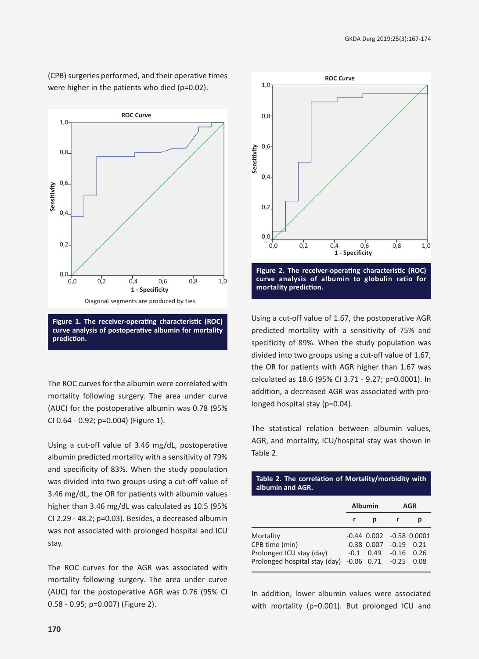(CPB) surgeries performed, and their operative times were higher in the patients who died (p=0.02).



**Figure 1. The receiver-operating characteristic (ROC) curve analysis of postoperative albumin for mortality prediction.**

The ROC curves for the albumin were correlated with mortality following surgery. The area under curve (AUC) for the postoperative albumin was 0.78 (95% CI 0.64 - 0.92; p=0.004) (Figure 1).

Using a cut-off value of 3.46 mg/dL, postoperative albumin predicted mortality with a sensitivity of 79% and specificity of 83%. When the study population was divided into two groups using a cut-off value of 3.46 mg/dL, the OR for patients with albumin values higher than 3.46 mg/dL was calculated as 10.5 (95% CI 2.29 - 48.2; p=0.03). Besides, a decreased albumin was not associated with prolonged hospital and ICU stay.

The ROC curves for the AGR was associated with mortality following surgery. The area under curve (AUC) for the postoperative AGR was 0.76 (95% CI 0.58 - 0.95; p=0.007) (Figure 2).



Using a cut-off value of 1.67, the postoperative AGR predicted mortality with a sensitivity of 75% and specificity of 89%. When the study population was divided into two groups using a cut-off value of 1.67, the OR for patients with AGR higher than 1.67 was calculated as 18.6 (95% CI 3.71 - 9.27; p=0.0001). In addition, a decreased AGR was associated with prolonged hospital stay (p=0.04).

The statistical relation between albumin values, AGR, and mortality, ICU/hospital stay was shown in Table 2.

**Table 2. The correlation of Mortality/morbidity with** 

| albumin and AGR.                                          |                   |                                    |                    |                          |  |
|-----------------------------------------------------------|-------------------|------------------------------------|--------------------|--------------------------|--|
|                                                           | <b>Albumin</b>    |                                    |                    | AGR                      |  |
|                                                           | r                 | р                                  | r                  | р                        |  |
| Mortality<br>CPB time (min)                               |                   | $-0.44$ $0.002$<br>$-0.38$ $0.007$ | $-0.19$            | $-0.58$ $0.0001$<br>0.21 |  |
| Prolonged ICU stay (day)<br>Prolonged hospital stay (day) | $-0.1$<br>$-0.06$ | 0.49<br>0.71                       | $-0.16$<br>$-0.25$ | 0.26<br>0.08             |  |

In addition, lower albumin values were associated with mortality (p=0.001). But prolonged ICU and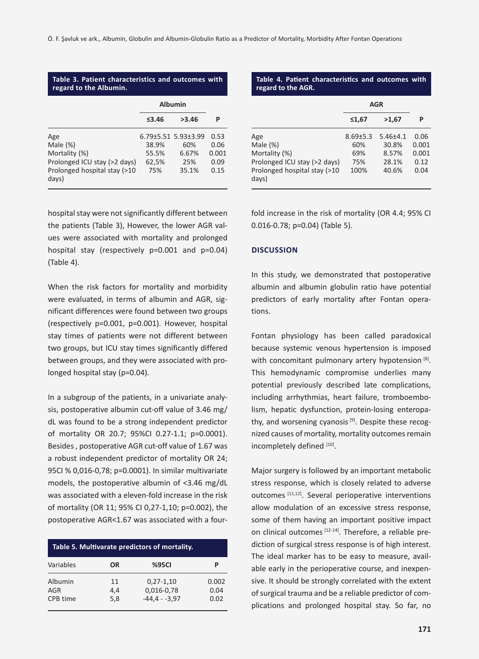#### **Table 3. Patient characteristics and outcomes with regard to the Albumin.**

|                                                                                                              | <b>Albumin</b>                 |                                                     |                                       |
|--------------------------------------------------------------------------------------------------------------|--------------------------------|-----------------------------------------------------|---------------------------------------|
|                                                                                                              | $\leq$ 3.46                    | >3.46                                               | P                                     |
| Age<br>Male $(\%)$<br>Mortality (%)<br>Prolonged ICU stay (>2 days)<br>Prolonged hospital stay (>10<br>days) | 38.9%<br>55.5%<br>62,5%<br>75% | 6.79±5.51 5.93±3.99<br>60%<br>6.67%<br>25%<br>35.1% | 0.53<br>0.06<br>0.001<br>0.09<br>0.15 |

hospital stay were not significantly different between the patients (Table 3), However, the lower AGR values were associated with mortality and prolonged hospital stay (respectively p=0.001 and p=0.04) (Table 4).

When the risk factors for mortality and morbidity were evaluated, in terms of albumin and AGR, significant differences were found between two groups (respectively p=0.001, p=0.001). However, hospital stay times of patients were not different between two groups, but ICU stay times significantly differed between groups, and they were associated with prolonged hospital stay (p=0.04).

In a subgroup of the patients, in a univariate analysis, postoperative albumin cut-off value of 3.46 mg/ dL was found to be a strong independent predictor of mortality OR 20.7; 95%CI 0.27-1.1; p=0.0001). Besides , postoperative AGR cut-off value of 1.67 was a robust independent predictor of mortality OR 24; 95CI % 0,016-0,78; p=0.0001). In similar multivariate models, the postoperative albumin of <3.46 mg/dL was associated with a eleven-fold increase in the risk of mortality (OR 11; 95% CI 0,27-1,10; p=0.002), the postoperative AGR<1.67 was associated with a four-

|                            |                  | Table 5. Multivarate predictors of mortality. |                       |
|----------------------------|------------------|-----------------------------------------------|-----------------------|
| Variables                  | OR               | <b>%95CI</b>                                  | Р                     |
| Albumin<br>AGR<br>CPB time | 11<br>4,4<br>5,8 | $0,27-1,10$<br>0,016-0,78<br>$-44.4 - -3.97$  | 0.002<br>0.04<br>0.02 |

### **Table 4. Patient characteristics and outcomes with regard to the AGR.**

|                                       | AGR          |                |       |
|---------------------------------------|--------------|----------------|-------|
|                                       | ≤1,67        | >1,67          | P     |
| Age                                   | $8.69 + 5.3$ | $5.46{\pm}4.1$ | 0.06  |
| Male $(\%)$                           | 60%          | 30.8%          | 0.001 |
| Mortality (%)                         | 69%          | 8.57%          | 0.001 |
| Prolonged ICU stay (>2 days)          | 75%          | 28.1%          | 0.12  |
| Prolonged hospital stay (>10<br>days) | 100%         | 40.6%          | 0.04  |

fold increase in the risk of mortality (OR 4.4; 95% CI 0.016-0.78; p=0.04) (Table 5).

#### **Discussion**

In this study, we demonstrated that postoperative albumin and albumin globulin ratio have potential predictors of early mortality after Fontan operations.

Fontan physiology has been called paradoxical because systemic venous hypertension is imposed with concomitant pulmonary artery hypotension [8]. This hemodynamic compromise underlies many potential previously described late complications, including arrhythmias, heart failure, tromboembolism, hepatic dysfunction, protein-losing enteropathy, and worsening cyanosis  $[9]$ . Despite these recognized causes of mortality, mortality outcomes remain incompletely defined [10].

Major surgery is followed by an important metabolic stress response, which is closely related to adverse outcomes [11,12]. Several perioperative interventions allow modulation of an excessive stress response, some of them having an important positive impact on clinical outcomes [12-14]. Therefore, a reliable prediction of surgical stress response is of high interest. The ideal marker has to be easy to measure, available early in the perioperative course, and inexpensive. It should be strongly correlated with the extent of surgical trauma and be a reliable predictor of complications and prolonged hospital stay. So far, no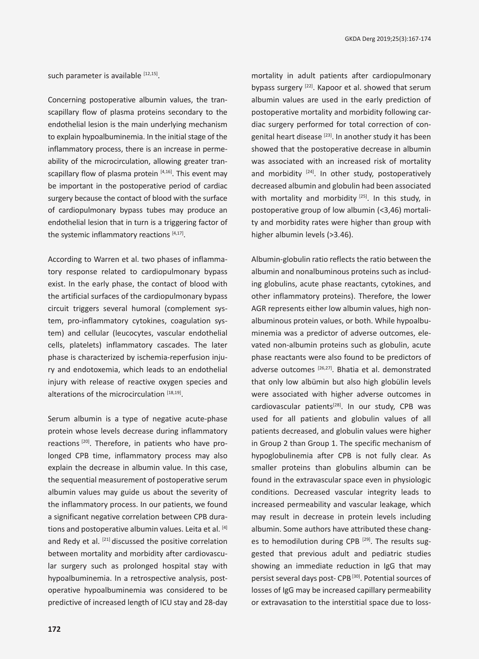such parameter is available  $[12,15]$ .

Concerning postoperative albumin values, the transcapillary flow of plasma proteins secondary to the endothelial lesion is the main underlying mechanism to explain hypoalbuminemia. In the initial stage of the inflammatory process, there is an increase in permeability of the microcirculation, allowing greater transcapillary flow of plasma protein  $[4,16]$ . This event may be important in the postoperative period of cardiac surgery because the contact of blood with the surface of cardiopulmonary bypass tubes may produce an endothelial lesion that in turn is a triggering factor of the systemic inflammatory reactions [4,17].

According to Warren et al. two phases of inflammatory response related to cardiopulmonary bypass exist. In the early phase, the contact of blood with the artificial surfaces of the cardiopulmonary bypass circuit triggers several humoral (complement system, pro-inflammatory cytokines, coagulation system) and cellular (leucocytes, vascular endothelial cells, platelets) inflammatory cascades. The later phase is characterized by ischemia-reperfusion injury and endotoxemia, which leads to an endothelial injury with release of reactive oxygen species and alterations of the microcirculation [18,19].

Serum albumin is a type of negative acute-phase protein whose levels decrease during inflammatory reactions [20]. Therefore, in patients who have prolonged CPB time, inflammatory process may also explain the decrease in albumin value. In this case, the sequential measurement of postoperative serum albumin values may guide us about the severity of the inflammatory process. In our patients, we found a significant negative correlation between CPB durations and postoperative albumin values. Leita et al. [4] and Redy et al. [21] discussed the positive correlation between mortality and morbidity after cardiovascular surgery such as prolonged hospital stay with hypoalbuminemia. In a retrospective analysis, postoperative hypoalbuminemia was considered to be predictive of increased length of ICU stay and 28-day

mortality in adult patients after cardiopulmonary bypass surgery [22]. Kapoor et al. showed that serum albumin values are used in the early prediction of postoperative mortality and morbidity following cardiac surgery performed for total correction of congenital heart disease [23]. In another study it has been showed that the postoperative decrease in albumin was associated with an increased risk of mortality and morbidity  $[24]$ . In other study, postoperatively decreased albumin and globulin had been associated with mortality and morbidity  $[25]$ . In this study, in postoperative group of low albumin (<3,46) mortality and morbidity rates were higher than group with higher albumin levels (>3.46).

Albumin-globulin ratio reflects the ratio between the albumin and nonalbuminous proteins such as including globulins, acute phase reactants, cytokines, and other inflammatory proteins). Therefore, the lower AGR represents either low albumin values, high nonalbuminous protein values, or both. While hypoalbuminemia was a predictor of adverse outcomes, elevated non-albumin proteins such as globulin, acute phase reactants were also found to be predictors of adverse outcomes <a>[26,27]</a>. Bhatia et al. demonstrated that only low albümin but also high globülin levels were associated with higher adverse outcomes in cardiovascular patients<sup>[28]</sup>. In our study, CPB was used for all patients and globulin values of all patients decreased, and globulin values were higher in Group 2 than Group 1. The specific mechanism of hypoglobulinemia after CPB is not fully clear. As smaller proteins than globulins albumin can be found in the extravascular space even in physiologic conditions. Decreased vascular integrity leads to increased permeability and vascular leakage, which may result in decrease in protein levels including albumin. Some authors have attributed these changes to hemodilution during CPB<sup>[29]</sup>. The results suggested that previous adult and pediatric studies showing an immediate reduction in IgG that may persist several days post- CPB [30]. Potential sources of losses of IgG may be increased capillary permeability or extravasation to the interstitial space due to loss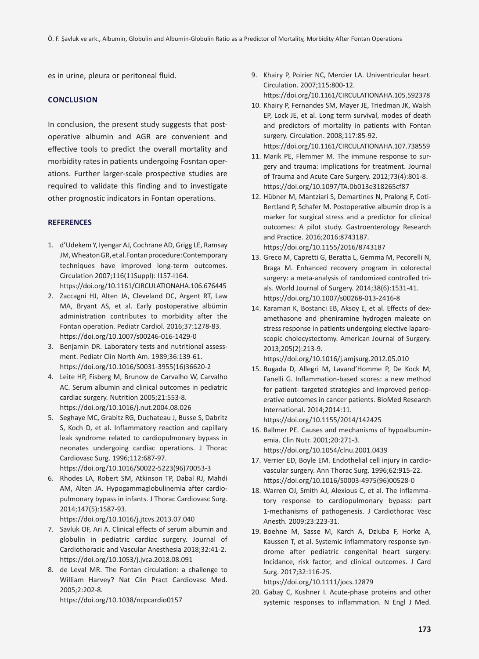es in urine, pleura or peritoneal fluid.

# **Conclusion**

In conclusion, the present study suggests that postoperative albumin and AGR are convenient and effective tools to predict the overall mortality and morbidity rates in patients undergoing Fosntan operations. Further larger-scale prospective studies are required to validate this finding and to investigate other prognostic indicators in Fontan operations.

# **REFERENCES**

- 1. d'Udekem Y, Iyengar AJ, Cochrane AD, Grigg LE, Ramsay JM, Wheaton GR, et al.Fontan procedure: Contemporary techniques have improved long-term outcomes. Circulation 2007;116(11Suppl): I157-I164. https://doi.org/10.1161/CIRCULATIONAHA.106.676445
- 2. Zaccagni HJ, Alten JA, Cleveland DC, Argent RT, Law MA, Bryant AS, et al. Early postoperative albümin administration contributes to morbidity after the Fontan operation. Pediatr Cardiol. 2016;37:1278-83. https://doi.org/10.1007/s00246-016-1429-0
- 3. Benjamin DR. Laboratory tests and nutritional assessment. Pediatr Clin North Am. 1989;36:139-61. https://doi.org/10.1016/S0031-3955(16)36620-2
- 4. Leite HP, Fisberg M, Brunow de Carvalho W, Carvalho AC. Serum albumin and clinical outcomes in pediatric cardiac surgery. Nutrition 2005;21:553-8. https://doi.org/10.1016/j.nut.2004.08.026
- 5. Seghaye MC, Grabitz RG, Duchateau J, Busse S, Dabritz S, Koch D, et al. Inflammatory reaction and capillary leak syndrome related to cardiopulmonary bypass in neonates undergoing cardiac operations. J Thorac Cardiovasc Surg. 1996;112:687-97. https://doi.org/10.1016/S0022-5223(96)70053-3
- 6. Rhodes LA, Robert SM, Atkinson TP, Dabal RJ, Mahdi AM, Alten JA. Hypogammaglobulinemia after cardiopulmonary bypass in infants. J Thorac Cardiovasc Surg. 2014;147(5):1587-93. https://doi.org/10.1016/j.jtcvs.2013.07.040
- 7. Savluk OF, Ari A. Clinical effects of serum albumin and globulin in pediatric cardiac surgery. Journal of Cardiothoracic and Vascular Anesthesia 2018;32:41-2. https://doi.org/10.1053/j.jvca.2018.08.091
- 8. de Leval MR. The Fontan circulation: a challenge to William Harvey? Nat Clin Pract Cardiovasc Med. 2005;2:202-8. https://doi.org/10.1038/ncpcardio0157
- 9. Khairy P, Poirier NC, Mercier LA. Univentricular heart. Circulation. 2007;115:800-12. https://doi.org/10.1161/CIRCULATIONAHA.105.592378
- 10. Khairy P, Fernandes SM, Mayer JE, Triedman JK, Walsh EP, Lock JE, et al. Long term survival, modes of death and predictors of mortality in patients with Fontan surgery. Circulation. 2008;117:85-92. https://doi.org/10.1161/CIRCULATIONAHA.107.738559
- 11. Marik PE, Flemmer M. The immune response to surgery and trauma: implications for treatment. Journal of Trauma and Acute Care Surgery. 2012;73(4):801-8. https://doi.org/10.1097/TA.0b013e318265cf87
- 12. Hübner M, Mantziari S, Demartines N, Pralong F, Coti-Bertland P, Schafer M. Postoperative albumin drop is a marker for surgical stress and a predictor for clinical outcomes: A pilot study. Gastroenterology Research and Practice. 2016;2016:8743187. https://doi.org/10.1155/2016/8743187
- 13. Greco M, Capretti G, Beratta L, Gemma M, Pecorelli N, Braga M. Enhanced recovery program in colorectal surgery: a meta-analysis of randomized controlled trials. World Journal of Surgery. 2014;38(6):1531-41. https://doi.org/10.1007/s00268-013-2416-8
- 14. Karaman K, Bostanci EB, Aksoy E, et al. Effects of dexamethasone and pheniramine hydrogen maleate on stress response in patients undergoing elective laparoscopic cholecystectomy. American Journal of Surgery. 2013;205(2):213-9.

https://doi.org/10.1016/j.amjsurg.2012.05.010

15. Bugada D, Allegri M, Lavand'Homme P, De Kock M, Fanelli G. Inflammation-based scores: a new method for patient- targeted strategies and improved perioperative outcomes in cancer patients. BioMed Research International. 2014;2014:11. https://doi.org/10.1155/2014/142425

16. Ballmer PE. Causes and mechanisms of hypoalbuminemia. Clin Nutr. 2001;20:271-3. https://doi.org/10.1054/clnu.2001.0439

- 17. Verrier ED, Boyle EM. Endothelial cell injury in cardiovascular surgery. Ann Thorac Surg. 1996;62:915-22. https://doi.org/10.1016/S0003-4975(96)00528-0
- 18. Warren OJ, Smith AJ, Alexious C, et al. The inflammatory response to cardiopulmonary bypass: part 1-mechanisms of pathogenesis. J Cardiothorac Vasc Anesth. 2009;23:223-31.
- 19. Boehne M, Sasse M, Karch A, Dziuba F, Horke A, Kaussen T, et al. Systemic inflammatory response syndrome after pediatric congenital heart surgery: Incidance, risk factor, and clinical outcomes. J Card Surg. 2017;32:116-25. https://doi.org/10.1111/jocs.12879

20. Gabay C, Kushner I. Acute-phase proteins and other systemic responses to inflammation. N Engl J Med.